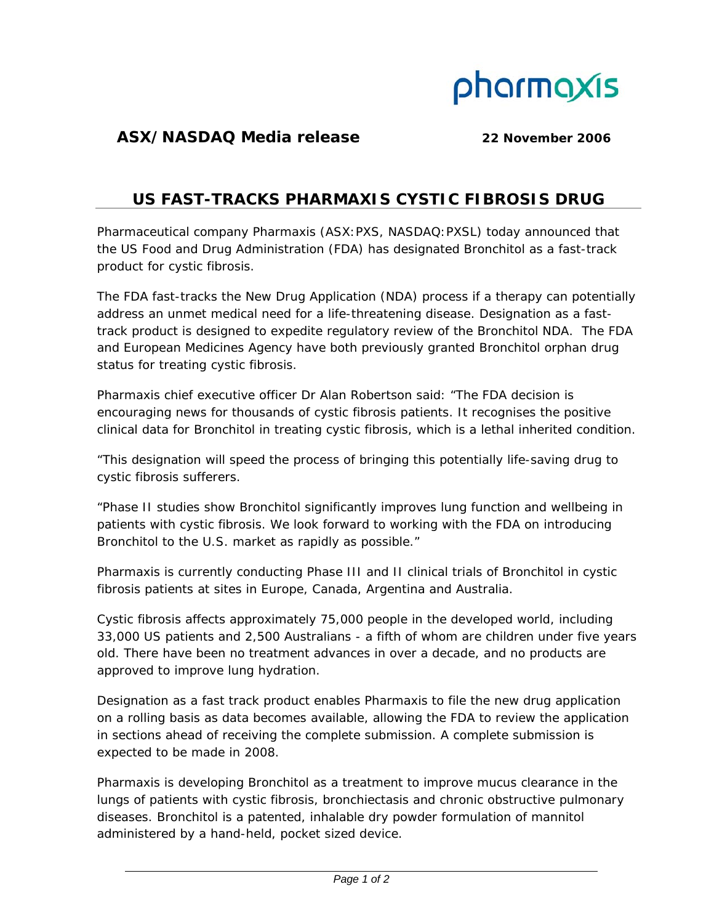

## **ASX/NASDAQ Media release 22 November 2006**

## **US FAST-TRACKS PHARMAXIS CYSTIC FIBROSIS DRUG**

Pharmaceutical company Pharmaxis (ASX:PXS, NASDAQ:PXSL) today announced that the US Food and Drug Administration (FDA) has designated Bronchitol as a fast-track product for cystic fibrosis.

The FDA fast-tracks the New Drug Application (NDA) process if a therapy can potentially address an unmet medical need for a life-threatening disease. Designation as a fasttrack product is designed to expedite regulatory review of the Bronchitol NDA. The FDA and European Medicines Agency have both previously granted Bronchitol orphan drug status for treating cystic fibrosis.

Pharmaxis chief executive officer Dr Alan Robertson said: "The FDA decision is encouraging news for thousands of cystic fibrosis patients. It recognises the positive clinical data for Bronchitol in treating cystic fibrosis, which is a lethal inherited condition.

"This designation will speed the process of bringing this potentially life-saving drug to cystic fibrosis sufferers.

"Phase II studies show Bronchitol significantly improves lung function and wellbeing in patients with cystic fibrosis. We look forward to working with the FDA on introducing Bronchitol to the U.S. market as rapidly as possible."

Pharmaxis is currently conducting Phase III and II clinical trials of Bronchitol in cystic fibrosis patients at sites in Europe, Canada, Argentina and Australia.

Cystic fibrosis affects approximately 75,000 people in the developed world, including 33,000 US patients and 2,500 Australians - a fifth of whom are children under five years old. There have been no treatment advances in over a decade, and no products are approved to improve lung hydration.

Designation as a fast track product enables Pharmaxis to file the new drug application on a rolling basis as data becomes available, allowing the FDA to review the application in sections ahead of receiving the complete submission. A complete submission is expected to be made in 2008.

Pharmaxis is developing Bronchitol as a treatment to improve mucus clearance in the lungs of patients with cystic fibrosis, bronchiectasis and chronic obstructive pulmonary diseases. Bronchitol is a patented, inhalable dry powder formulation of mannitol administered by a hand-held, pocket sized device.